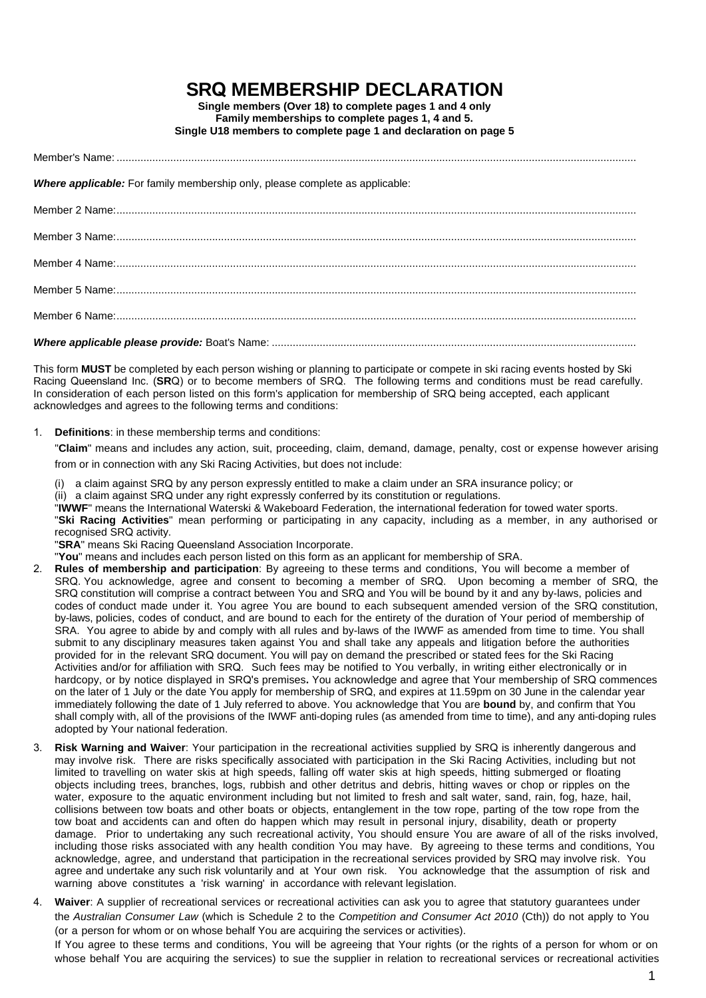## **SRQ MEMBERSHIP DECLARATION**

**Single members (Over 18) to complete pages 1 and 4 only Family memberships to complete pages 1, 4 and 5. Single U18 members to complete page 1 and declaration on page 5**

Member's Name:

*Where applicable:* For family membership only, please complete as applicable:

This form **MUST** be completed by each person wishing or planning to participate or compete in ski racing events hosted by Ski Racing Queensland Inc. (**SR**Q) or to become members of SRQ. The following terms and conditions must be read carefully. In consideration of each person listed on this form's application for membership of SRQ being accepted, each applicant acknowledges and agrees to the following terms and conditions:

1. **Definitions**: in these membership terms and conditions:

"**Claim**" means and includes any action, suit, proceeding, claim, demand, damage, penalty, cost or expense however arising from or in connection with any Ski Racing Activities, but does not include:

- (i) a claim against SRQ by any person expressly entitled to make a claim under an SRA insurance policy; or
- (ii) a claim against SRQ under any right expressly conferred by its constitution or regulations.

"**IWWF**" means the International Waterski & Wakeboard Federation, the international federation for towed water sports. "**Ski Racing Activities**" mean performing or participating in any capacity, including as a member, in any authorised or recognised SRQ activity.

"**SRA**" means Ski Racing Queensland Association Incorporate.

"**You**" means and includes each person listed on this form as an applicant for membership of SRA.

- 2. **Rules of membership and participation**: By agreeing to these terms and conditions, You will become a member of SRQ. You acknowledge, agree and consent to becoming a member of SRQ. Upon becoming a member of SRQ, the SRQ constitution will comprise a contract between You and SRQ and You will be bound by it and any by-laws, policies and codes of conduct made under it. You agree You are bound to each subsequent amended version of the SRQ constitution, by-laws, policies, codes of conduct, and are bound to each for the entirety of the duration of Your period of membership of SRA. You agree to abide by and comply with all rules and by-laws of the IWWF as amended from time to time. You shall submit to any disciplinary measures taken against You and shall take any appeals and litigation before the authorities provided for in the relevant SRQ document. You will pay on demand the prescribed or stated fees for the Ski Racing Activities and/or for affiliation with SRQ. Such fees may be notified to You verbally, in writing either electronically or in hardcopy, or by notice displayed in SRQ's premises**.** You acknowledge and agree that Your membership of SRQ commences on the later of 1 July or the date You apply for membership of SRQ, and expires at 11.59pm on 30 June in the calendar year immediately following the date of 1 July referred to above. You acknowledge that You are **bound** by, and confirm that You shall comply with, all of the provisions of the IWWF anti-doping rules (as amended from time to time), and any anti-doping rules adopted by Your national federation.
- 3. **Risk Warning and Waiver**: Your participation in the recreational activities supplied by SRQ is inherently dangerous and may involve risk. There are risks specifically associated with participation in the Ski Racing Activities, including but not limited to travelling on water skis at high speeds, falling off water skis at high speeds, hitting submerged or floating objects including trees, branches, logs, rubbish and other detritus and debris, hitting waves or chop or ripples on the water, exposure to the aquatic environment including but not limited to fresh and salt water, sand, rain, fog, haze, hail, collisions between tow boats and other boats or objects, entanglement in the tow rope, parting of the tow rope from the tow boat and accidents can and often do happen which may result in personal injury, disability, death or property damage. Prior to undertaking any such recreational activity, You should ensure You are aware of all of the risks involved, including those risks associated with any health condition You may have. By agreeing to these terms and conditions, You acknowledge, agree, and understand that participation in the recreational services provided by SRQ may involve risk. You agree and undertake any such risk voluntarily and at Your own risk. You acknowledge that the assumption of risk and warning above constitutes a 'risk warning' in accordance with relevant legislation.
- 4. **Waiver**: A supplier of recreational services or recreational activities can ask you to agree that statutory guarantees under the *Australian Consumer Law* (which is Schedule 2 to the *Competition and Consumer Act 2010* (Cth)) do not apply to You (or a person for whom or on whose behalf You are acquiring the services or activities).

If You agree to these terms and conditions, You will be agreeing that Your rights (or the rights of a person for whom or on whose behalf You are acquiring the services) to sue the supplier in relation to recreational services or recreational activities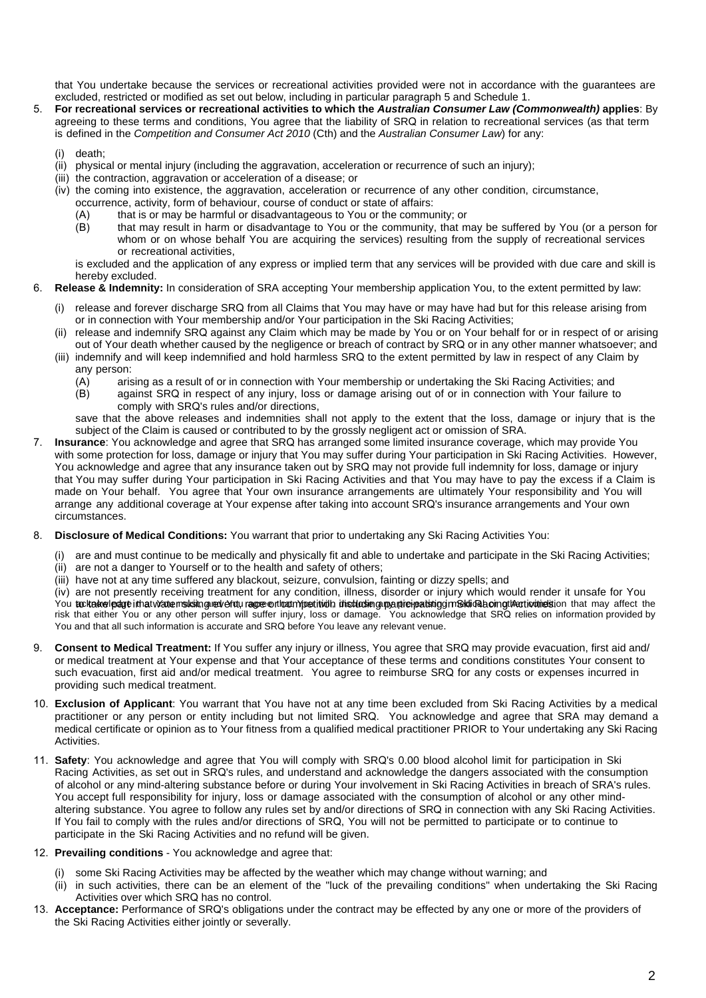that You undertake because the services or recreational activities provided were not in accordance with the guarantees are excluded, restricted or modified as set out below, including in particular paragraph 5 and Schedule 1.

- 5. **For recreational services or recreational activities to which the** *Australian Consumer Law (Commonwealth)* **applies**: By agreeing to these terms and conditions, You agree that the liability of SRQ in relation to recreational services (as that term is defined in the *Competition and Consumer Act 2010* (Cth) and the *Australian Consumer Law*) for any:
	- death:
	- (ii) physical or mental injury (including the aggravation, acceleration or recurrence of such an injury);
	- (iii) the contraction, aggravation or acceleration of a disease; or
	- (iv) the coming into existence, the aggravation, acceleration or recurrence of any other condition, circumstance,
		- occurrence, activity, form of behaviour, course of conduct or state of affairs:
		- (A) that is or may be harmful or disadvantageous to You or the community; or that may result in harm or disadvantage to You or the community, that m
		- that may result in harm or disadvantage to You or the community, that may be suffered by You (or a person for whom or on whose behalf You are acquiring the services) resulting from the supply of recreational services or recreational activities,

is excluded and the application of any express or implied term that any services will be provided with due care and skill is hereby excluded.

- 6. **Release & Indemnity:** In consideration of SRA accepting Your membership application You, to the extent permitted by law:
	- (i) release and forever discharge SRQ from all Claims that You may have or may have had but for this release arising from or in connection with Your membership and/or Your participation in the Ski Racing Activities;
	- (ii) release and indemnify SRQ against any Claim which may be made by You or on Your behalf for or in respect of or arising out of Your death whether caused by the negligence or breach of contract by SRQ or in any other manner whatsoever; and
	- (iii) indemnify and will keep indemnified and hold harmless SRQ to the extent permitted by law in respect of any Claim by any person:
		- (A) arising as a result of or in connection with Your membership or undertaking the Ski Racing Activities; and<br>(B) against SRQ in respect of any iniury, loss or damage arising out of or in connection with Your failure to
			- against SRQ in respect of any injury, loss or damage arising out of or in connection with Your failure to comply with SRQ's rules and/or directions,

save that the above releases and indemnities shall not apply to the extent that the loss, damage or injury that is the subject of the Claim is caused or contributed to by the grossly negligent act or omission of SRA.

- 7. **Insurance**: You acknowledge and agree that SRQ has arranged some limited insurance coverage, which may provide You with some protection for loss, damage or injury that You may suffer during Your participation in Ski Racing Activities. However, You acknowledge and agree that any insurance taken out by SRQ may not provide full indemnity for loss, damage or injury that You may suffer during Your participation in Ski Racing Activities and that You may have to pay the excess if a Claim is made on Your behalf. You agree that Your own insurance arrangements are ultimately Your responsibility and You will arrange any additional coverage at Your expense after taking into account SRQ's insurance arrangements and Your own circumstances.
- 8. **Disclosure of Medical Conditions:** You warrant that prior to undertaking any Ski Racing Activities You:
	- (i) are and must continue to be medically and physically fit and able to undertake and participate in the Ski Racing Activities;
	- (ii) are not a danger to Yourself or to the health and safety of others;
	- (iii) have not at any time suffered any blackout, seizure, convulsion, fainting or dizzy spells; and

(iv) are not presently receiving treatment for any condition, illness, disorder or injury which would render it unsafe for You You to have leage it hat wave relisting rever of the theory foot it with the having market participation of the the may affect the risk that either You or any other person will suffer injury, loss or damage. You acknowledge that SRQ relies on information provided by You and that all such information is accurate and SRQ before You leave any relevant venue.

- 9. **Consent to Medical Treatment:** If You suffer any injury or illness, You agree that SRQ may provide evacuation, first aid and/ or medical treatment at Your expense and that Your acceptance of these terms and conditions constitutes Your consent to such evacuation, first aid and/or medical treatment. You agree to reimburse SRQ for any costs or expenses incurred in providing such medical treatment.
- 10. **Exclusion of Applicant**: You warrant that You have not at any time been excluded from Ski Racing Activities by a medical practitioner or any person or entity including but not limited SRQ. You acknowledge and agree that SRA may demand a medical certificate or opinion as to Your fitness from a qualified medical practitioner PRIOR to Your undertaking any Ski Racing Activities.
- 11. **Safety**: You acknowledge and agree that You will comply with SRQ's 0.00 blood alcohol limit for participation in Ski Racing Activities, as set out in SRQ's rules, and understand and acknowledge the dangers associated with the consumption of alcohol or any mind-altering substance before or during Your involvement in Ski Racing Activities in breach of SRA's rules. You accept full responsibility for injury, loss or damage associated with the consumption of alcohol or any other mindaltering substance. You agree to follow any rules set by and/or directions of SRQ in connection with any Ski Racing Activities. If You fail to comply with the rules and/or directions of SRQ, You will not be permitted to participate or to continue to participate in the Ski Racing Activities and no refund will be given.
- 12. **Prevailing conditions** You acknowledge and agree that:
	- (i) some Ski Racing Activities may be affected by the weather which may change without warning; and
	- (ii) in such activities, there can be an element of the "luck of the prevailing conditions" when undertaking the Ski Racing Activities over which SRQ has no control.
- 13. **Acceptance:** Performance of SRQ's obligations under the contract may be effected by any one or more of the providers of the Ski Racing Activities either jointly or severally.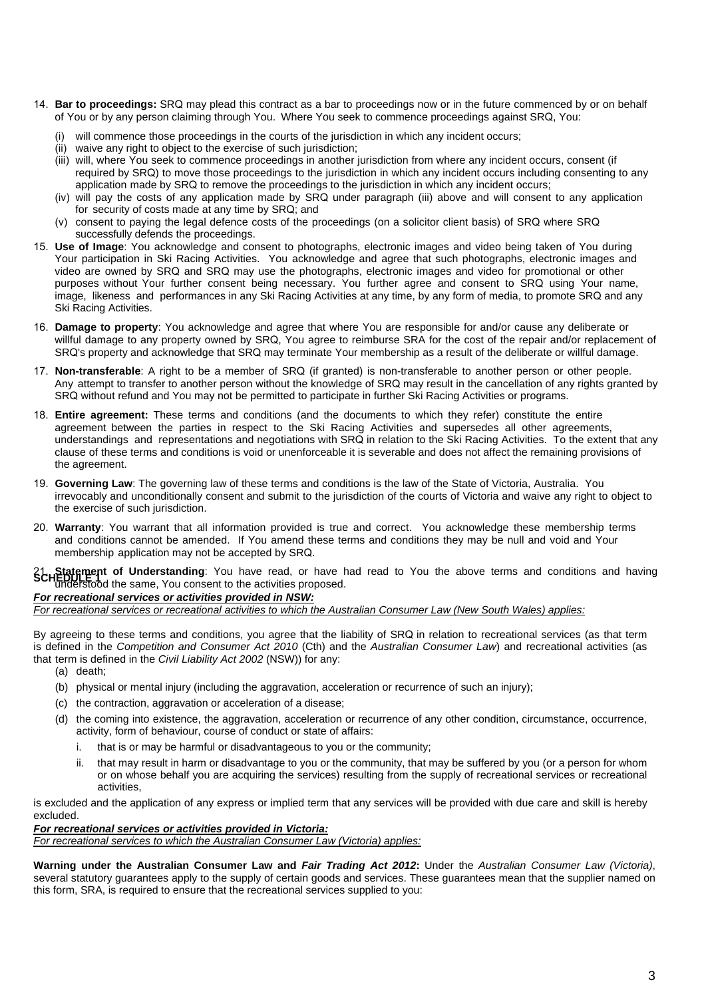- 14. **Bar to proceedings:** SRQ may plead this contract as a bar to proceedings now or in the future commenced by or on behalf of You or by any person claiming through You. Where You seek to commence proceedings against SRQ, You:
	- (i) will commence those proceedings in the courts of the jurisdiction in which any incident occurs;
	- (ii) waive any right to object to the exercise of such jurisdiction;
	- (iii) will, where You seek to commence proceedings in another jurisdiction from where any incident occurs, consent (if required by SRQ) to move those proceedings to the jurisdiction in which any incident occurs including consenting to any application made by SRQ to remove the proceedings to the jurisdiction in which any incident occurs;
	- (iv) will pay the costs of any application made by SRQ under paragraph (iii) above and will consent to any application for security of costs made at any time by SRQ; and
	- (v) consent to paying the legal defence costs of the proceedings (on a solicitor client basis) of SRQ where SRQ successfully defends the proceedings.
- 15. **Use of Image**: You acknowledge and consent to photographs, electronic images and video being taken of You during Your participation in Ski Racing Activities. You acknowledge and agree that such photographs, electronic images and video are owned by SRQ and SRQ may use the photographs, electronic images and video for promotional or other purposes without Your further consent being necessary. You further agree and consent to SRQ using Your name, image, likeness and performances in any Ski Racing Activities at any time, by any form of media, to promote SRQ and any Ski Racing Activities.
- 16. **Damage to property**: You acknowledge and agree that where You are responsible for and/or cause any deliberate or willful damage to any property owned by SRQ, You agree to reimburse SRA for the cost of the repair and/or replacement of SRQ's property and acknowledge that SRQ may terminate Your membership as a result of the deliberate or willful damage.
- 17. **Non-transferable**: A right to be a member of SRQ (if granted) is non-transferable to another person or other people. Any attempt to transfer to another person without the knowledge of SRQ may result in the cancellation of any rights granted by SRQ without refund and You may not be permitted to participate in further Ski Racing Activities or programs.
- 18. **Entire agreement:** These terms and conditions (and the documents to which they refer) constitute the entire agreement between the parties in respect to the Ski Racing Activities and supersedes all other agreements, understandings and representations and negotiations with SRQ in relation to the Ski Racing Activities. To the extent that any clause of these terms and conditions is void or unenforceable it is severable and does not affect the remaining provisions of the agreement.
- 19. **Governing Law**: The governing law of these terms and conditions is the law of the State of Victoria, Australia. You irrevocably and unconditionally consent and submit to the jurisdiction of the courts of Victoria and waive any right to object to the exercise of such jurisdiction.
- 20. **Warranty**: You warrant that all information provided is true and correct. You acknowledge these membership terms and conditions cannot be amended. If You amend these terms and conditions they may be null and void and Your membership application may not be accepted by SRQ.

21 **Statement of Understanding**: You have read, or have had read to You the above terms and conditions and having<br>SCHEDURE 100<br>Understood the same, You consent to the activities proposed.

### *For recreational services or activities provided in NSW:*

*For recreational services or recreational activities to which the Australian Consumer Law (New South Wales) applies:* 

By agreeing to these terms and conditions, you agree that the liability of SRQ in relation to recreational services (as that term is defined in the *Competition and Consumer Act 2010* (Cth) and the *Australian Consumer Law*) and recreational activities (as that term is defined in the *Civil Liability Act 2002* (NSW)) for any:

- (a) death;
- (b) physical or mental injury (including the aggravation, acceleration or recurrence of such an injury);
- (c) the contraction, aggravation or acceleration of a disease;
- (d) the coming into existence, the aggravation, acceleration or recurrence of any other condition, circumstance, occurrence, activity, form of behaviour, course of conduct or state of affairs:
	- i. that is or may be harmful or disadvantageous to you or the community;
	- ii. that may result in harm or disadvantage to you or the community, that may be suffered by you (or a person for whom or on whose behalf you are acquiring the services) resulting from the supply of recreational services or recreational activities,

is excluded and the application of any express or implied term that any services will be provided with due care and skill is hereby excluded.

#### *For recreational services or activities provided in Victoria:*

*For recreational services to which the Australian Consumer Law (Victoria) applies:* 

**Warning under the Australian Consumer Law and** *Fair Trading Act 2012***:** Under the *Australian Consumer Law (Victoria)*, several statutory guarantees apply to the supply of certain goods and services. These guarantees mean that the supplier named on this form, SRA, is required to ensure that the recreational services supplied to you: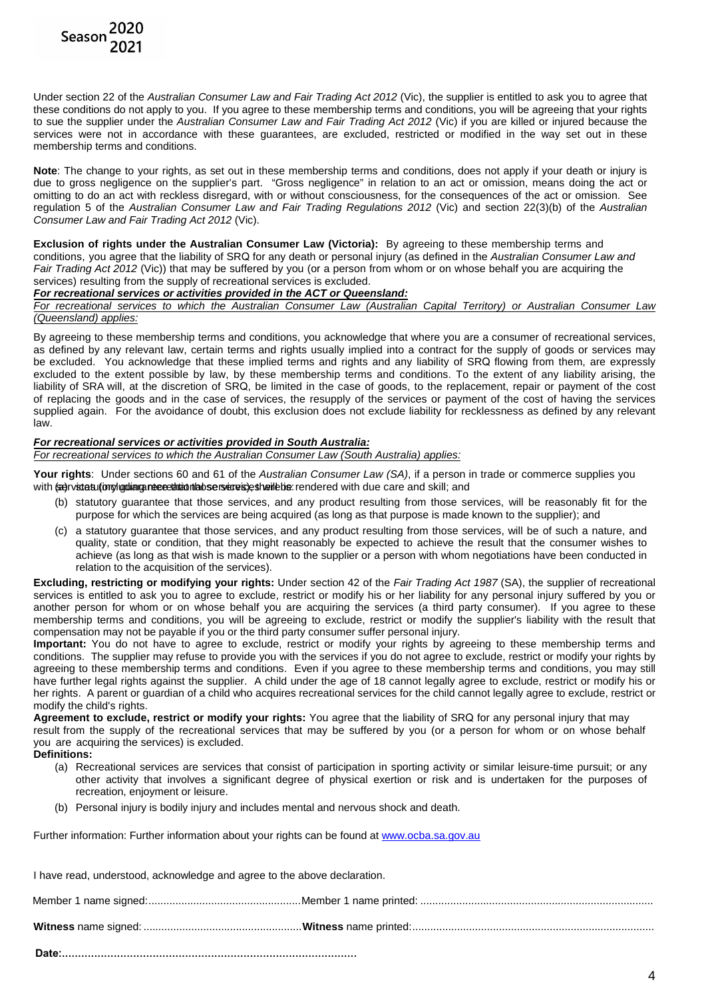

Under section 22 of the *Australian Consumer Law and Fair Trading Act 2012* (Vic), the supplier is entitled to ask you to agree that these conditions do not apply to you. If you agree to these membership terms and conditions, you will be agreeing that your rights to sue the supplier under the *Australian Consumer Law and Fair Trading Act 2012* (Vic) if you are killed or injured because the services were not in accordance with these guarantees, are excluded, restricted or modified in the way set out in these membership terms and conditions.

**Note**: The change to your rights, as set out in these membership terms and conditions, does not apply if your death or injury is due to gross negligence on the supplier's part. "Gross negligence" in relation to an act or omission, means doing the act or omitting to do an act with reckless disregard, with or without consciousness, for the consequences of the act or omission. See regulation 5 of the *Australian Consumer Law and Fair Trading Regulations 2012* (Vic) and section 22(3)(b) of the *Australian Consumer Law and Fair Trading Act 2012* (Vic).

**Exclusion of rights under the Australian Consumer Law (Victoria):** By agreeing to these membership terms and conditions, you agree that the liability of SRQ for any death or personal injury (as defined in the *Australian Consumer Law and Fair Trading Act 2012* (Vic)) that may be suffered by you (or a person from whom or on whose behalf you are acquiring the services) resulting from the supply of recreational services is excluded.

#### *For recreational services or activities provided in the ACT or Queensland:*

*For recreational services to which the Australian Consumer Law (Australian Capital Territory) or Australian Consumer Law (Queensland) applies:*

By agreeing to these membership terms and conditions, you acknowledge that where you are a consumer of recreational services, as defined by any relevant law, certain terms and rights usually implied into a contract for the supply of goods or services may be excluded. You acknowledge that these implied terms and rights and any liability of SRQ flowing from them, are expressly excluded to the extent possible by law, by these membership terms and conditions. To the extent of any liability arising, the liability of SRA will, at the discretion of SRQ, be limited in the case of goods, to the replacement, repair or payment of the cost of replacing the goods and in the case of services, the resupply of the services or payment of the cost of having the services supplied again. For the avoidance of doubt, this exclusion does not exclude liability for recklessness as defined by any relevant law.

#### *For recreational services or activities provided in South Australia:*

*For recreational services to which the Australian Consumer Law (South Australia) applies:*

**Your rights**: Under sections 60 and 61 of the *Australian Consumer Law (SA)*, if a person in trade or commerce supplies you with (servicies limple diate recreated that services) estherible: rendered with due care and skill; and

- (b) statutory guarantee that those services, and any product resulting from those services, will be reasonably fit for the purpose for which the services are being acquired (as long as that purpose is made known to the supplier); and
- (c) a statutory guarantee that those services, and any product resulting from those services, will be of such a nature, and quality, state or condition, that they might reasonably be expected to achieve the result that the consumer wishes to achieve (as long as that wish is made known to the supplier or a person with whom negotiations have been conducted in relation to the acquisition of the services).

**Excluding, restricting or modifying your rights:** Under section 42 of the *Fair Trading Act 1987* (SA), the supplier of recreational services is entitled to ask you to agree to exclude, restrict or modify his or her liability for any personal injury suffered by you or another person for whom or on whose behalf you are acquiring the services (a third party consumer). If you agree to these membership terms and conditions, you will be agreeing to exclude, restrict or modify the supplier's liability with the result that compensation may not be payable if you or the third party consumer suffer personal injury.

**Important:** You do not have to agree to exclude, restrict or modify your rights by agreeing to these membership terms and conditions. The supplier may refuse to provide you with the services if you do not agree to exclude, restrict or modify your rights by agreeing to these membership terms and conditions. Even if you agree to these membership terms and conditions, you may still have further legal rights against the supplier. A child under the age of 18 cannot legally agree to exclude, restrict or modify his or her rights. A parent or guardian of a child who acquires recreational services for the child cannot legally agree to exclude, restrict or modify the child's rights.

**Agreement to exclude, restrict or modify your rights:** You agree that the liability of SRQ for any personal injury that may result from the supply of the recreational services that may be suffered by you (or a person for whom or on whose behalf you are acquiring the services) is excluded.

**Definitions:**

- (a) Recreational services are services that consist of participation in sporting activity or similar leisure-time pursuit; or any other activity that involves a significant degree of physical exertion or risk and is undertaken for the purposes of recreation, enjoyment or leisure.
- (b) Personal injury is bodily injury and includes mental and nervous shock and death.

Further information: Further information about your rights can be found at [www.ocba.sa.gov.au](http://www.ocba.sa.gov.au/)

| I have read, understood, acknowledge and agree to the above declaration. |  |  |
|--------------------------------------------------------------------------|--|--|
|                                                                          |  |  |
|                                                                          |  |  |
|                                                                          |  |  |